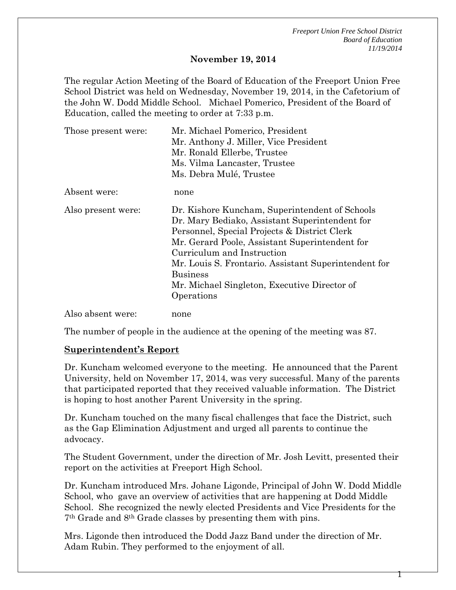*Freeport Union Free School District Board of Education 11/19/2014*

#### **November 19, 2014**

The regular Action Meeting of the Board of Education of the Freeport Union Free School District was held on Wednesday, November 19, 2014, in the Cafetorium of the John W. Dodd Middle School. Michael Pomerico, President of the Board of Education, called the meeting to order at 7:33 p.m.

| Those present were: | Mr. Michael Pomerico, President                                                                                                                                                                                                                                                                                                                                           |  |  |  |
|---------------------|---------------------------------------------------------------------------------------------------------------------------------------------------------------------------------------------------------------------------------------------------------------------------------------------------------------------------------------------------------------------------|--|--|--|
|                     | Mr. Anthony J. Miller, Vice President                                                                                                                                                                                                                                                                                                                                     |  |  |  |
|                     | Mr. Ronald Ellerbe, Trustee                                                                                                                                                                                                                                                                                                                                               |  |  |  |
|                     | Ms. Vilma Lancaster, Trustee                                                                                                                                                                                                                                                                                                                                              |  |  |  |
|                     | Ms. Debra Mulé, Trustee                                                                                                                                                                                                                                                                                                                                                   |  |  |  |
| Absent were:        | none                                                                                                                                                                                                                                                                                                                                                                      |  |  |  |
| Also present were:  | Dr. Kishore Kuncham, Superintendent of Schools<br>Dr. Mary Bediako, Assistant Superintendent for<br>Personnel, Special Projects & District Clerk<br>Mr. Gerard Poole, Assistant Superintendent for<br>Curriculum and Instruction<br>Mr. Louis S. Frontario. Assistant Superintendent for<br><b>Business</b><br>Mr. Michael Singleton, Executive Director of<br>Operations |  |  |  |
| Also absent were:   | none                                                                                                                                                                                                                                                                                                                                                                      |  |  |  |

The number of people in the audience at the opening of the meeting was 87.

## **Superintendent's Report**

Dr. Kuncham welcomed everyone to the meeting. He announced that the Parent University, held on November 17, 2014, was very successful. Many of the parents that participated reported that they received valuable information. The District is hoping to host another Parent University in the spring.

Dr. Kuncham touched on the many fiscal challenges that face the District, such as the Gap Elimination Adjustment and urged all parents to continue the advocacy.

The Student Government, under the direction of Mr. Josh Levitt, presented their report on the activities at Freeport High School.

Dr. Kuncham introduced Mrs. Johane Ligonde, Principal of John W. Dodd Middle School, who gave an overview of activities that are happening at Dodd Middle School. She recognized the newly elected Presidents and Vice Presidents for the 7th Grade and 8th Grade classes by presenting them with pins.

Mrs. Ligonde then introduced the Dodd Jazz Band under the direction of Mr. Adam Rubin. They performed to the enjoyment of all.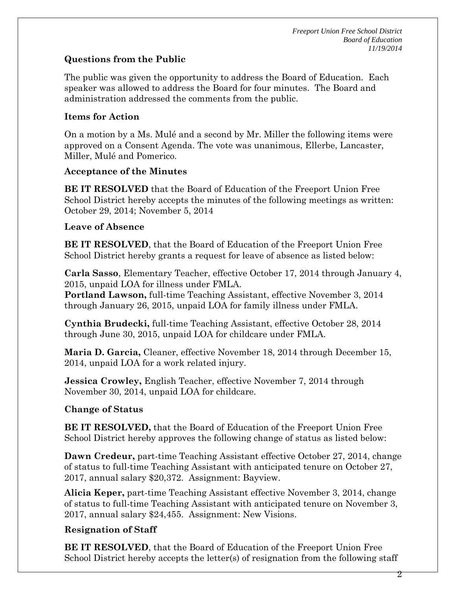# **Questions from the Public**

The public was given the opportunity to address the Board of Education. Each speaker was allowed to address the Board for four minutes. The Board and administration addressed the comments from the public.

## **Items for Action**

On a motion by a Ms. Mulé and a second by Mr. Miller the following items were approved on a Consent Agenda. The vote was unanimous, Ellerbe, Lancaster, Miller, Mulé and Pomerico.

## **Acceptance of the Minutes**

**BE IT RESOLVED** that the Board of Education of the Freeport Union Free School District hereby accepts the minutes of the following meetings as written: October 29, 2014; November 5, 2014

## **Leave of Absence**

**BE IT RESOLVED**, that the Board of Education of the Freeport Union Free School District hereby grants a request for leave of absence as listed below:

**Carla Sasso**, Elementary Teacher, effective October 17, 2014 through January 4, 2015, unpaid LOA for illness under FMLA.

**Portland Lawson,** full-time Teaching Assistant, effective November 3, 2014 through January 26, 2015, unpaid LOA for family illness under FMLA.

**Cynthia Brudecki,** full-time Teaching Assistant, effective October 28, 2014 through June 30, 2015, unpaid LOA for childcare under FMLA.

**Maria D. Garcia,** Cleaner, effective November 18, 2014 through December 15, 2014, unpaid LOA for a work related injury.

**Jessica Crowley,** English Teacher, effective November 7, 2014 through November 30, 2014, unpaid LOA for childcare.

# **Change of Status**

**BE IT RESOLVED,** that the Board of Education of the Freeport Union Free School District hereby approves the following change of status as listed below:

**Dawn Credeur,** part-time Teaching Assistant effective October 27, 2014, change of status to full-time Teaching Assistant with anticipated tenure on October 27, 2017, annual salary \$20,372. Assignment: Bayview.

**Alicia Keper,** part-time Teaching Assistant effective November 3, 2014, change of status to full-time Teaching Assistant with anticipated tenure on November 3, 2017, annual salary \$24,455. Assignment: New Visions.

# **Resignation of Staff**

**BE IT RESOLVED**, that the Board of Education of the Freeport Union Free School District hereby accepts the letter(s) of resignation from the following staff

2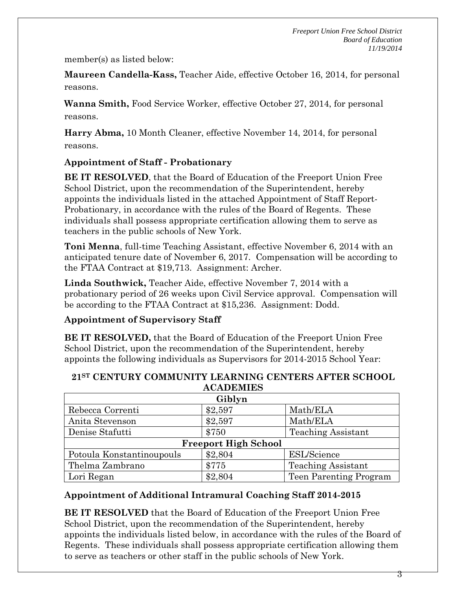member(s) as listed below:

**Maureen Candella-Kass,** Teacher Aide, effective October 16, 2014, for personal reasons.

**Wanna Smith,** Food Service Worker, effective October 27, 2014, for personal reasons.

**Harry Abma,** 10 Month Cleaner, effective November 14, 2014, for personal reasons.

# **Appointment of Staff - Probationary**

**BE IT RESOLVED**, that the Board of Education of the Freeport Union Free School District, upon the recommendation of the Superintendent, hereby appoints the individuals listed in the attached Appointment of Staff Report-Probationary, in accordance with the rules of the Board of Regents. These individuals shall possess appropriate certification allowing them to serve as teachers in the public schools of New York.

**Toni Menna**, full-time Teaching Assistant, effective November 6, 2014 with an anticipated tenure date of November 6, 2017. Compensation will be according to the FTAA Contract at \$19,713. Assignment: Archer.

**Linda Southwick,** Teacher Aide, effective November 7, 2014 with a probationary period of 26 weeks upon Civil Service approval. Compensation will be according to the FTAA Contract at \$15,236. Assignment: Dodd.

## **Appointment of Supervisory Staff**

**BE IT RESOLVED,** that the Board of Education of the Freeport Union Free School District, upon the recommendation of the Superintendent, hereby appoints the following individuals as Supervisors for 2014-2015 School Year:

| <b>ACADEMIES</b>            |         |                           |  |  |  |
|-----------------------------|---------|---------------------------|--|--|--|
| Giblyn                      |         |                           |  |  |  |
| Rebecca Correnti            | \$2,597 | Math/ELA                  |  |  |  |
| Anita Stevenson             | \$2,597 | Math/ELA                  |  |  |  |
| Denise Stafutti             | \$750   | <b>Teaching Assistant</b> |  |  |  |
| <b>Freeport High School</b> |         |                           |  |  |  |
| Potoula Konstantinoupouls   | \$2,804 | <b>ESL/Science</b>        |  |  |  |
| Thelma Zambrano             | \$775   | <b>Teaching Assistant</b> |  |  |  |
| Lori Regan                  | \$2,804 | Teen Parenting Program    |  |  |  |

# **21ST CENTURY COMMUNITY LEARNING CENTERS AFTER SCHOOL**

# **Appointment of Additional Intramural Coaching Staff 2014-2015**

**BE IT RESOLVED** that the Board of Education of the Freeport Union Free School District, upon the recommendation of the Superintendent, hereby appoints the individuals listed below, in accordance with the rules of the Board of Regents. These individuals shall possess appropriate certification allowing them to serve as teachers or other staff in the public schools of New York.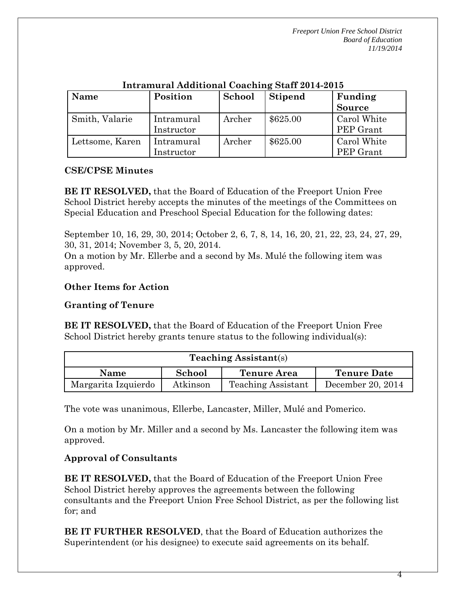*Freeport Union Free School District Board of Education 11/19/2014*

| <b>Name</b>     | Position                 | School | <b>Stipend</b> | Funding<br><b>Source</b> |
|-----------------|--------------------------|--------|----------------|--------------------------|
| Smith, Valarie  | Intramural<br>Instructor | Archer | \$625.00       | Carol White<br>PEP Grant |
| Lettsome, Karen | Intramural<br>Instructor | Archer | \$625.00       | Carol White<br>PEP Grant |

## **Intramural Additional Coaching Staff 2014-2015**

### **CSE/CPSE Minutes**

**BE IT RESOLVED,** that the Board of Education of the Freeport Union Free School District hereby accepts the minutes of the meetings of the Committees on Special Education and Preschool Special Education for the following dates:

September 10, 16, 29, 30, 2014; October 2, 6, 7, 8, 14, 16, 20, 21, 22, 23, 24, 27, 29, 30, 31, 2014; November 3, 5, 20, 2014.

On a motion by Mr. Ellerbe and a second by Ms. Mulé the following item was approved.

### **Other Items for Action**

## **Granting of Tenure**

**BE IT RESOLVED,** that the Board of Education of the Freeport Union Free School District hereby grants tenure status to the following individual(s):

| <b>Teaching Assistant(s)</b> |          |                           |                    |  |
|------------------------------|----------|---------------------------|--------------------|--|
| <b>Name</b>                  | School   | <b>Tenure Area</b>        | <b>Tenure Date</b> |  |
| Margarita Izquierdo          | Atkinson | <b>Teaching Assistant</b> | December 20, 2014  |  |

The vote was unanimous, Ellerbe, Lancaster, Miller, Mulé and Pomerico.

On a motion by Mr. Miller and a second by Ms. Lancaster the following item was approved.

## **Approval of Consultants**

**BE IT RESOLVED,** that the Board of Education of the Freeport Union Free School District hereby approves the agreements between the following consultants and the Freeport Union Free School District, as per the following list for; and

**BE IT FURTHER RESOLVED**, that the Board of Education authorizes the Superintendent (or his designee) to execute said agreements on its behalf.

4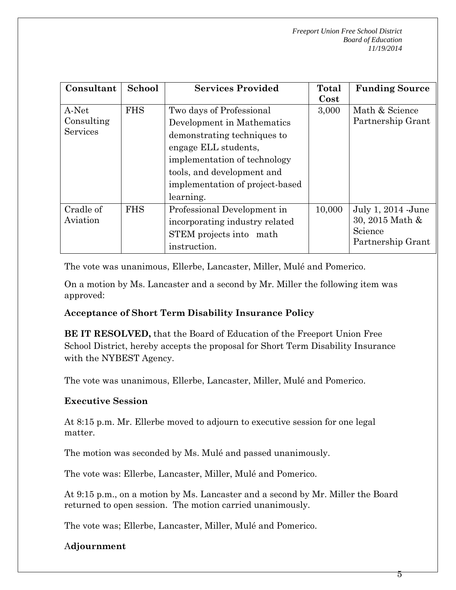| Consultant                    | School     | <b>Services Provided</b>        | Total  | <b>Funding Source</b>                  |
|-------------------------------|------------|---------------------------------|--------|----------------------------------------|
|                               |            |                                 | Cost   |                                        |
| A-Net                         | <b>FHS</b> | Two days of Professional        | 3,000  | Math & Science<br>Partnership Grant    |
| Consulting<br><b>Services</b> |            | Development in Mathematics      |        |                                        |
|                               |            | demonstrating techniques to     |        |                                        |
|                               |            | engage ELL students,            |        |                                        |
|                               |            | implementation of technology    |        |                                        |
|                               |            | tools, and development and      |        |                                        |
|                               |            | implementation of project-based |        |                                        |
|                               |            | learning.                       |        |                                        |
| Cradle of<br>Aviation         | <b>FHS</b> | Professional Development in     | 10,000 | July 1, 2014 - June<br>30, 2015 Math & |
|                               |            | incorporating industry related  |        |                                        |
|                               |            | STEM projects into math         |        | Science                                |
|                               |            | instruction.                    |        | Partnership Grant                      |

The vote was unanimous, Ellerbe, Lancaster, Miller, Mulé and Pomerico.

On a motion by Ms. Lancaster and a second by Mr. Miller the following item was approved:

# **Acceptance of Short Term Disability Insurance Policy**

**BE IT RESOLVED,** that the Board of Education of the Freeport Union Free School District, hereby accepts the proposal for Short Term Disability Insurance with the NYBEST Agency.

The vote was unanimous, Ellerbe, Lancaster, Miller, Mulé and Pomerico.

# **Executive Session**

At 8:15 p.m. Mr. Ellerbe moved to adjourn to executive session for one legal matter.

The motion was seconded by Ms. Mulé and passed unanimously.

The vote was: Ellerbe, Lancaster, Miller, Mulé and Pomerico.

At 9:15 p.m., on a motion by Ms. Lancaster and a second by Mr. Miller the Board returned to open session. The motion carried unanimously.

The vote was; Ellerbe, Lancaster, Miller, Mulé and Pomerico.

# A**djournment**